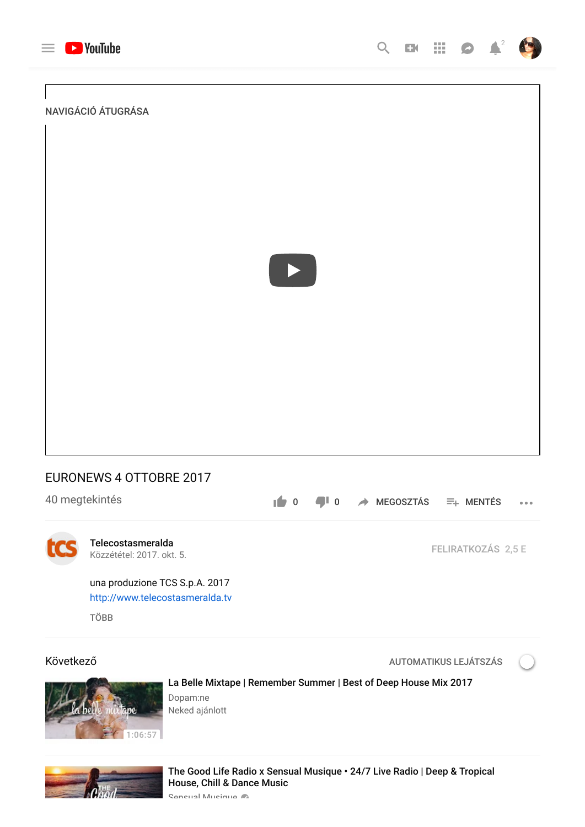

NAVIGÁCIÓ ÁTUGRÁSA



# EURONEWS 4 OTTOBRE 2017

| 40 megtekintés |  |
|----------------|--|
|----------------|--|

 $\begin{bmatrix} 0 & 0 \\ 0 & \end{bmatrix}$  **D**  $\rightarrow$  MEGOSZTÁS  $\equiv$  MENTÉS  $\bullet$   $\bullet$   $\bullet$ 



[Telecostasmeralda](https://www.youtube.com/channel/UC4hrVUC9k0yUjQhKZmyGzdw) Közzététel: 2017. okt. 5.

una produzione TCS S.p.A. 2017 [http://www.telecostasmeralda.tv](https://www.youtube.com/redirect?redir_token=VZjVra8pxgfz3dDS-2zOidJAEQd8MTU0NzY0MjYwMkAxNTQ3NTU2MjAy&v=dO6EZwJXvoU&q=http%3A%2F%2Fwww.telecostasmeralda.tv&event=video_description)

TÖBB

Következő eletének a következő a következő a következő a következő a következő a következő a következő a következ

FELIRATKOZÁS 2,5 E



[La Belle Mixtape | Remember Summer | Best of Deep House Mix 2017](https://www.youtube.com/watch?v=hfneugBapWU)

Dopam:ne Neked ajánlott



[The Good Life Radio x Sensual Musique • 24/7 Live Radio | Deep & Tropical](https://www.youtube.com/watch?v=oI3GdbsbDxk) House, Chill & Dance Music

Sensual Musique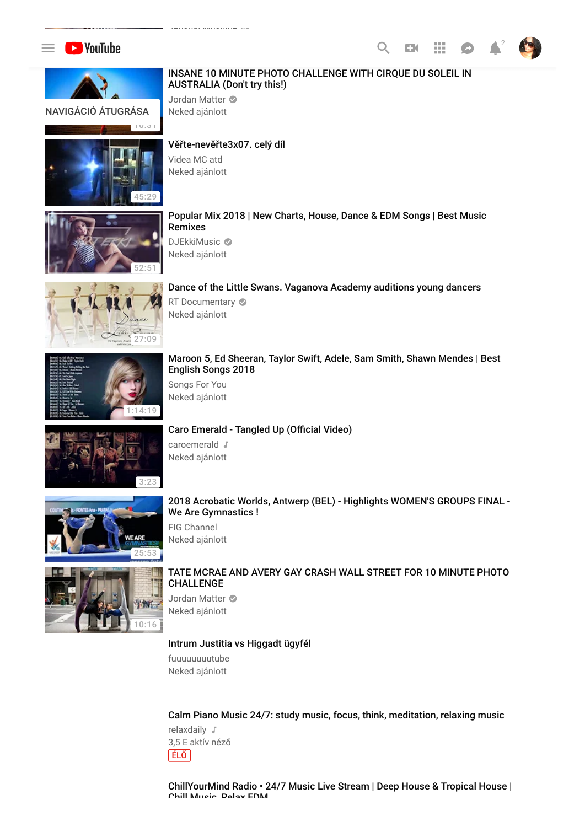





#### [INSANE 10 MINUTE PHOTO CHALLENGE WITH CIRQUE DU SOLEIL IN](https://www.youtube.com/watch?v=ylPcbRgLa4A) AUSTRALIA (Don't try this!)

Jordan Matter Neked ajánlott



## Věřte-nevěř[te3x07. celý díl](https://www.youtube.com/watch?v=x-Dg-xwUcLY)

Videa MC atd Neked ajánlott



#### [Popular Mix 2018 | New Charts, House, Dance & EDM Songs | Best Music](https://www.youtube.com/watch?v=c_imehYCPms&t=4s) Remixes

DJEkkiMusic © Neked ajánlott



## [Dance of the Little Swans. Vaganova Academy auditions young dancers](https://www.youtube.com/watch?v=7w9MS7zLB4M)

RT Documentary  $\odot$ Neked ajánlott



#### [Maroon 5, Ed Sheeran, Taylor Swift, Adele, Sam Smith, Shawn Mendes | Best](https://www.youtube.com/watch?v=7zM0L0Rb_g4) English Songs 2018

Songs For You Neked ajánlott



### Caro Emerald - Tangled Up (Official Video)

caroemerald J Neked ajánlott



#### [2018 Acrobatic Worlds, Antwerp \(BEL\) - Highlights WOMEN'S GROUPS FINAL -](https://www.youtube.com/watch?v=TRm6oAlJzhI) We Are Gymnastics !

FIG Channel Neked ajánlott



#### [TATE MCRAE AND AVERY GAY CRASH WALL STREET FOR 10 MINUTE PHOTO](https://www.youtube.com/watch?v=qvmAyLD6fCk) CHALLENGE

Jordan Matter Neked ajánlott

#### [Intrum Justitia vs Higgadt ügyfél](https://www.youtube.com/watch?v=KuR3fVZTBNY)

fuuuuuuuutube Neked ajánlott

[Calm Piano Music 24/7: study music, focus, think, meditation, relaxing music](https://www.youtube.com/watch?v=XULUBg_ZcAU) relaxdaily  $\sqrt$ 3,5 E aktív néző ÉLŐ

[ChillYourMind Radio • 24/7 Music Live Stream | Deep House & Tropical House |](https://www.youtube.com/watch?v=Ec7VUcdB-ww) Chill Music Relax EDM